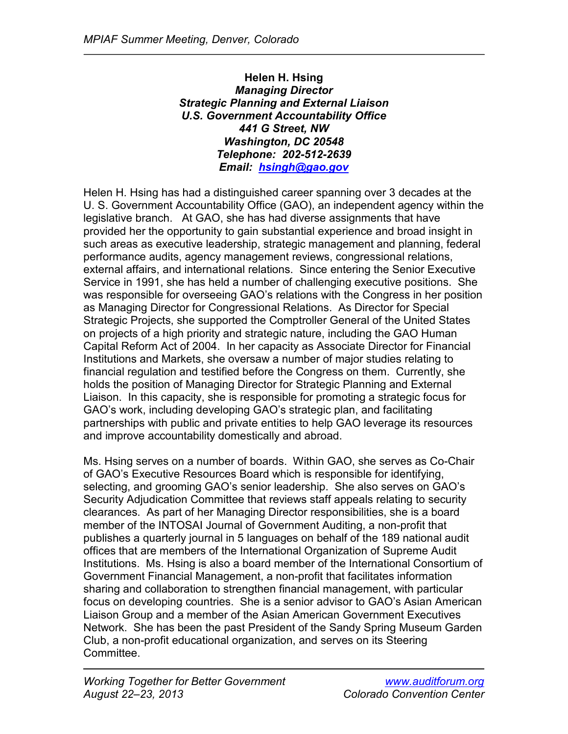**Helen H. Hsing** *Managing Director Strategic Planning and External Liaison U.S. Government Accountability Office 441 G Street, NW Washington, DC 20548 Telephone: 202-512-2639 Email: [hsingh@gao.gov](mailto:hsingh@gao.gov)*

Helen H. Hsing has had a distinguished career spanning over 3 decades at the U. S. Government Accountability Office (GAO), an independent agency within the legislative branch. At GAO, she has had diverse assignments that have provided her the opportunity to gain substantial experience and broad insight in such areas as executive leadership, strategic management and planning, federal performance audits, agency management reviews, congressional relations, external affairs, and international relations. Since entering the Senior Executive Service in 1991, she has held a number of challenging executive positions. She was responsible for overseeing GAO's relations with the Congress in her position as Managing Director for Congressional Relations. As Director for Special Strategic Projects, she supported the Comptroller General of the United States on projects of a high priority and strategic nature, including the GAO Human Capital Reform Act of 2004. In her capacity as Associate Director for Financial Institutions and Markets, she oversaw a number of major studies relating to financial regulation and testified before the Congress on them. Currently, she holds the position of Managing Director for Strategic Planning and External Liaison. In this capacity, she is responsible for promoting a strategic focus for GAO's work, including developing GAO's strategic plan, and facilitating partnerships with public and private entities to help GAO leverage its resources and improve accountability domestically and abroad.

Ms. Hsing serves on a number of boards. Within GAO, she serves as Co-Chair of GAO's Executive Resources Board which is responsible for identifying, selecting, and grooming GAO's senior leadership. She also serves on GAO's Security Adjudication Committee that reviews staff appeals relating to security clearances. As part of her Managing Director responsibilities, she is a board member of the INTOSAI Journal of Government Auditing, a non-profit that publishes a quarterly journal in 5 languages on behalf of the 189 national audit offices that are members of the International Organization of Supreme Audit Institutions. Ms. Hsing is also a board member of the International Consortium of Government Financial Management, a non-profit that facilitates information sharing and collaboration to strengthen financial management, with particular focus on developing countries. She is a senior advisor to GAO's Asian American Liaison Group and a member of the Asian American Government Executives Network. She has been the past President of the Sandy Spring Museum Garden Club, a non-profit educational organization, and serves on its Steering Committee.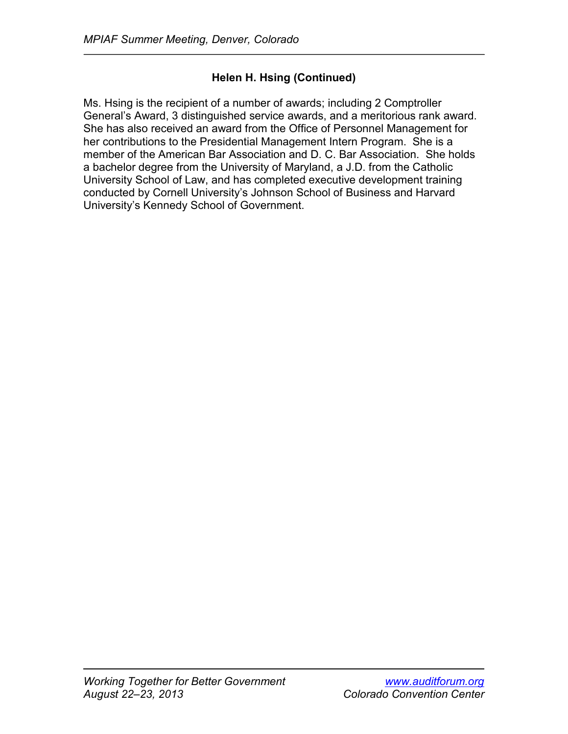# **Helen H. Hsing (Continued)**

Ms. Hsing is the recipient of a number of awards; including 2 Comptroller General's Award, 3 distinguished service awards, and a meritorious rank award. She has also received an award from the Office of Personnel Management for her contributions to the Presidential Management Intern Program. She is a member of the American Bar Association and D. C. Bar Association. She holds a bachelor degree from the University of Maryland, a J.D. from the Catholic University School of Law, and has completed executive development training conducted by Cornell University's Johnson School of Business and Harvard University's Kennedy School of Government.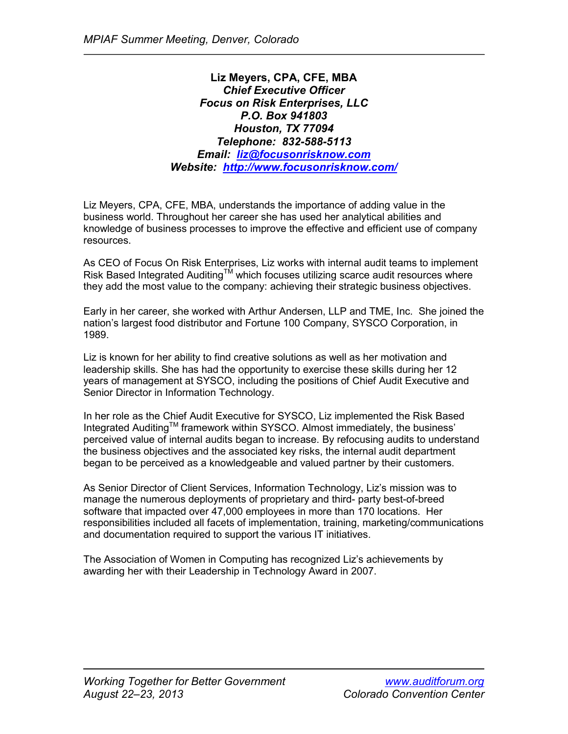**Liz Meyers, CPA, CFE, MBA** *Chief Executive Officer Focus on Risk Enterprises, LLC P.O. Box 941803 Houston, TX 77094 Telephone: 832-588-5113 Email: [liz@focusonrisknow.com](mailto:liz@focusonrisknow.com) Website: <http://www.focusonrisknow.com/>*

Liz Meyers, CPA, CFE, MBA, understands the importance of adding value in the business world. Throughout her career she has used her analytical abilities and knowledge of business processes to improve the effective and efficient use of company resources.

As CEO of Focus On Risk Enterprises, Liz works with internal audit teams to implement Risk Based Integrated Auditing<sup>TM</sup> which focuses utilizing scarce audit resources where they add the most value to the company: achieving their strategic business objectives.

Early in her career, she worked with Arthur Andersen, LLP and TME, Inc. She joined the nation's largest food distributor and Fortune 100 Company, SYSCO Corporation, in 1989.

Liz is known for her ability to find creative solutions as well as her motivation and leadership skills. She has had the opportunity to exercise these skills during her 12 years of management at SYSCO, including the positions of Chief Audit Executive and Senior Director in Information Technology.

In her role as the Chief Audit Executive for SYSCO, Liz implemented the Risk Based Integrated AuditingTM framework within SYSCO. Almost immediately, the business' perceived value of internal audits began to increase. By refocusing audits to understand the business objectives and the associated key risks, the internal audit department began to be perceived as a knowledgeable and valued partner by their customers.

As Senior Director of Client Services, Information Technology, Liz's mission was to manage the numerous deployments of proprietary and third- party best-of-breed software that impacted over 47,000 employees in more than 170 locations. Her responsibilities included all facets of implementation, training, marketing/communications and documentation required to support the various IT initiatives.

The Association of Women in Computing has recognized Liz's achievements by awarding her with their Leadership in Technology Award in 2007.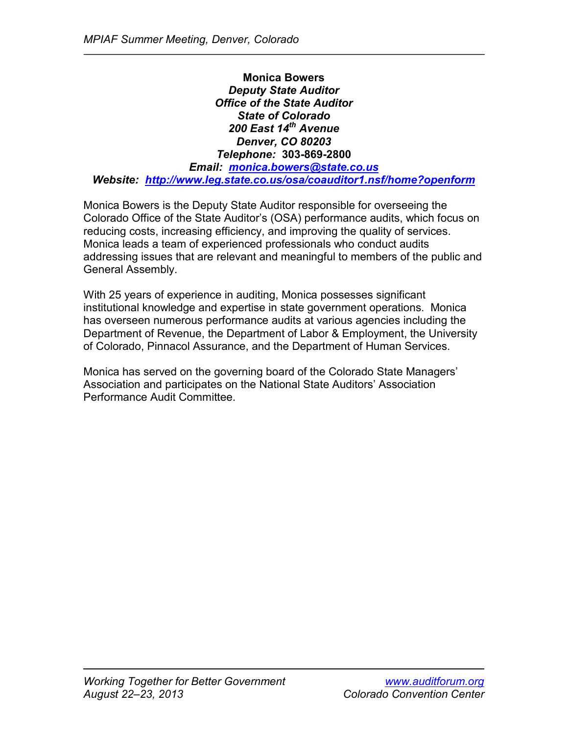**Monica Bowers** *Deputy State Auditor Office of the State Auditor State of Colorado 200 East 14th Avenue Denver, CO 80203 Telephone:* **303-869-2800** *Email: [monica.bowers@state.co.us](mailto:monica.bowers@state.co.us) Website: <http://www.leg.state.co.us/osa/coauditor1.nsf/home?openform>*

Monica Bowers is the Deputy State Auditor responsible for overseeing the Colorado Office of the State Auditor's (OSA) performance audits, which focus on reducing costs, increasing efficiency, and improving the quality of services. Monica leads a team of experienced professionals who conduct audits addressing issues that are relevant and meaningful to members of the public and General Assembly.

With 25 years of experience in auditing, Monica possesses significant institutional knowledge and expertise in state government operations. Monica has overseen numerous performance audits at various agencies including the Department of Revenue, the Department of Labor & Employment, the University of Colorado, Pinnacol Assurance, and the Department of Human Services.

Monica has served on the governing board of the Colorado State Managers' Association and participates on the National State Auditors' Association Performance Audit Committee.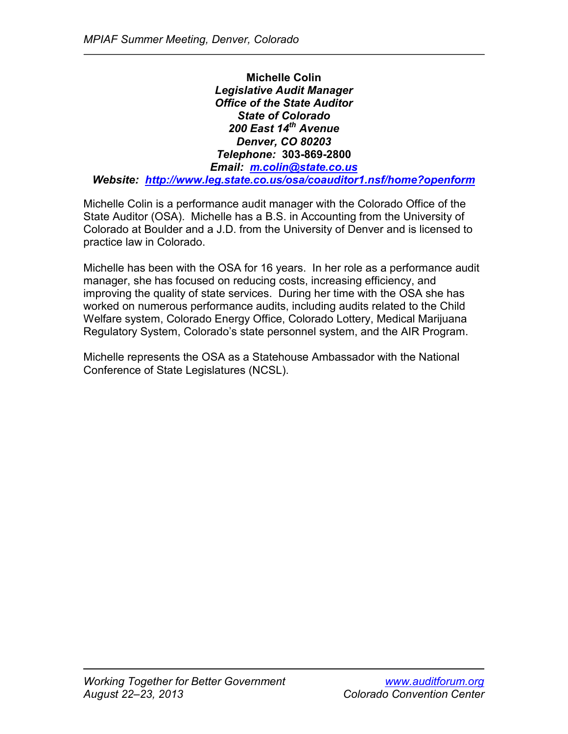**Michelle Colin** *Legislative Audit Manager Office of the State Auditor State of Colorado 200 East 14th Avenue Denver, CO 80203 Telephone:* **303-869-2800** *Email: [m.colin@state.co.us](mailto:m.colin@state.co.us) Website: <http://www.leg.state.co.us/osa/coauditor1.nsf/home?openform>*

Michelle Colin is a performance audit manager with the Colorado Office of the State Auditor (OSA). Michelle has a B.S. in Accounting from the University of Colorado at Boulder and a J.D. from the University of Denver and is licensed to practice law in Colorado.

Michelle has been with the OSA for 16 years. In her role as a performance audit manager, she has focused on reducing costs, increasing efficiency, and improving the quality of state services. During her time with the OSA she has worked on numerous performance audits, including audits related to the Child Welfare system, Colorado Energy Office, Colorado Lottery, Medical Marijuana Regulatory System, Colorado's state personnel system, and the AIR Program.

Michelle represents the OSA as a Statehouse Ambassador with the National Conference of State Legislatures (NCSL).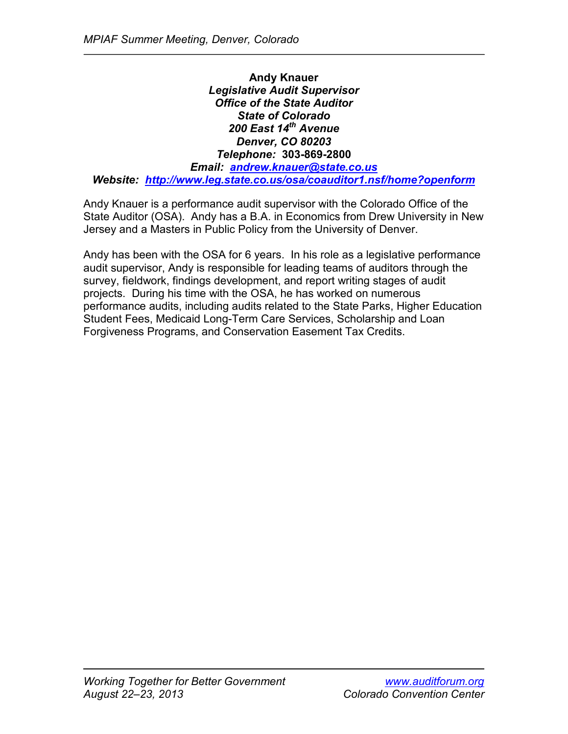**Andy Knauer** *Legislative Audit Supervisor Office of the State Auditor State of Colorado 200 East 14th Avenue Denver, CO 80203 Telephone:* **303-869-2800** *Email: [andrew.knauer@state.co.us](mailto:andrew.knauer@state.co.us) Website: <http://www.leg.state.co.us/osa/coauditor1.nsf/home?openform>*

Andy Knauer is a performance audit supervisor with the Colorado Office of the State Auditor (OSA). Andy has a B.A. in Economics from Drew University in New Jersey and a Masters in Public Policy from the University of Denver.

Andy has been with the OSA for 6 years. In his role as a legislative performance audit supervisor, Andy is responsible for leading teams of auditors through the survey, fieldwork, findings development, and report writing stages of audit projects. During his time with the OSA, he has worked on numerous performance audits, including audits related to the State Parks, Higher Education Student Fees, Medicaid Long-Term Care Services, Scholarship and Loan Forgiveness Programs, and Conservation Easement Tax Credits.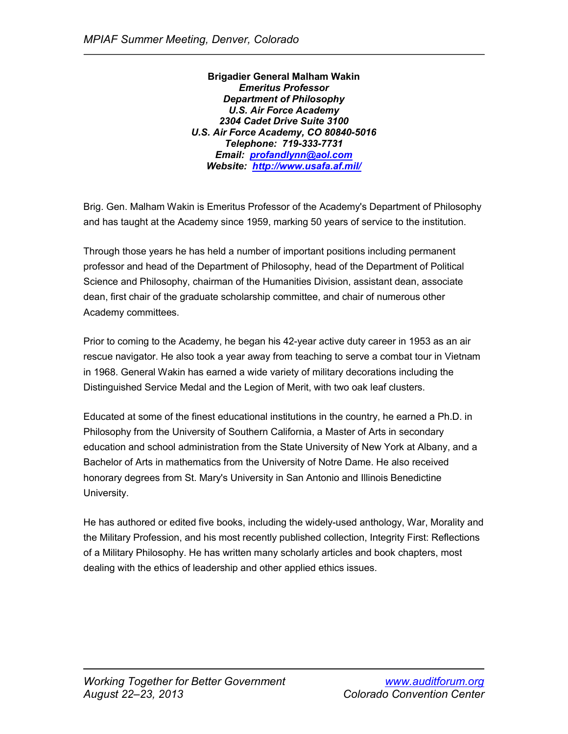**Brigadier General Malham Wakin** *Emeritus Professor Department of Philosophy U.S. Air Force Academy 2304 Cadet Drive Suite 3100 U.S. Air Force Academy, CO 80840-5016 Telephone: 719-333-7731 Email: [profandlynn@aol.com](mailto:profandlynn@aol.com) Website: <http://www.usafa.af.mil/>*

Brig. Gen. Malham Wakin is Emeritus Professor of the Academy's Department of Philosophy and has taught at the Academy since 1959, marking 50 years of service to the institution.

Through those years he has held a number of important positions including permanent professor and head of the Department of Philosophy, head of the Department of Political Science and Philosophy, chairman of the Humanities Division, assistant dean, associate dean, first chair of the graduate scholarship committee, and chair of numerous other Academy committees.

Prior to coming to the Academy, he began his 42-year active duty career in 1953 as an air rescue navigator. He also took a year away from teaching to serve a combat tour in Vietnam in 1968. General Wakin has earned a wide variety of military decorations including the Distinguished Service Medal and the Legion of Merit, with two oak leaf clusters.

Educated at some of the finest educational institutions in the country, he earned a Ph.D. in Philosophy from the University of Southern California, a Master of Arts in secondary education and school administration from the State University of New York at Albany, and a Bachelor of Arts in mathematics from the University of Notre Dame. He also received honorary degrees from St. Mary's University in San Antonio and Illinois Benedictine University.

He has authored or edited five books, including the widely-used anthology, War, Morality and the Military Profession, and his most recently published collection, Integrity First: Reflections of a Military Philosophy. He has written many scholarly articles and book chapters, most dealing with the ethics of leadership and other applied ethics issues.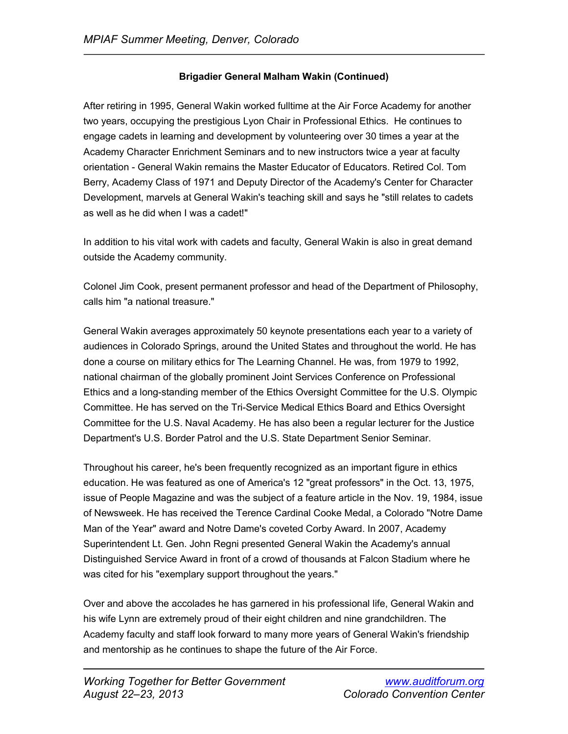# **Brigadier General Malham Wakin (Continued)**

After retiring in 1995, General Wakin worked fulltime at the Air Force Academy for another two years, occupying the prestigious Lyon Chair in Professional Ethics. He continues to engage cadets in learning and development by volunteering over 30 times a year at the Academy Character Enrichment Seminars and to new instructors twice a year at faculty orientation - General Wakin remains the Master Educator of Educators. Retired Col. Tom Berry, Academy Class of 1971 and Deputy Director of the Academy's Center for Character Development, marvels at General Wakin's teaching skill and says he "still relates to cadets as well as he did when I was a cadet!"

In addition to his vital work with cadets and faculty, General Wakin is also in great demand outside the Academy community.

Colonel Jim Cook, present permanent professor and head of the Department of Philosophy, calls him "a national treasure."

General Wakin averages approximately 50 keynote presentations each year to a variety of audiences in Colorado Springs, around the United States and throughout the world. He has done a course on military ethics for The Learning Channel. He was, from 1979 to 1992, national chairman of the globally prominent Joint Services Conference on Professional Ethics and a long-standing member of the Ethics Oversight Committee for the U.S. Olympic Committee. He has served on the Tri-Service Medical Ethics Board and Ethics Oversight Committee for the U.S. Naval Academy. He has also been a regular lecturer for the Justice Department's U.S. Border Patrol and the U.S. State Department Senior Seminar.

Throughout his career, he's been frequently recognized as an important figure in ethics education. He was featured as one of America's 12 "great professors" in the Oct. 13, 1975, issue of People Magazine and was the subject of a feature article in the Nov. 19, 1984, issue of Newsweek. He has received the Terence Cardinal Cooke Medal, a Colorado "Notre Dame Man of the Year" award and Notre Dame's coveted Corby Award. In 2007, Academy Superintendent Lt. Gen. John Regni presented General Wakin the Academy's annual Distinguished Service Award in front of a crowd of thousands at Falcon Stadium where he was cited for his "exemplary support throughout the years."

Over and above the accolades he has garnered in his professional life, General Wakin and his wife Lynn are extremely proud of their eight children and nine grandchildren. The Academy faculty and staff look forward to many more years of General Wakin's friendship and mentorship as he continues to shape the future of the Air Force.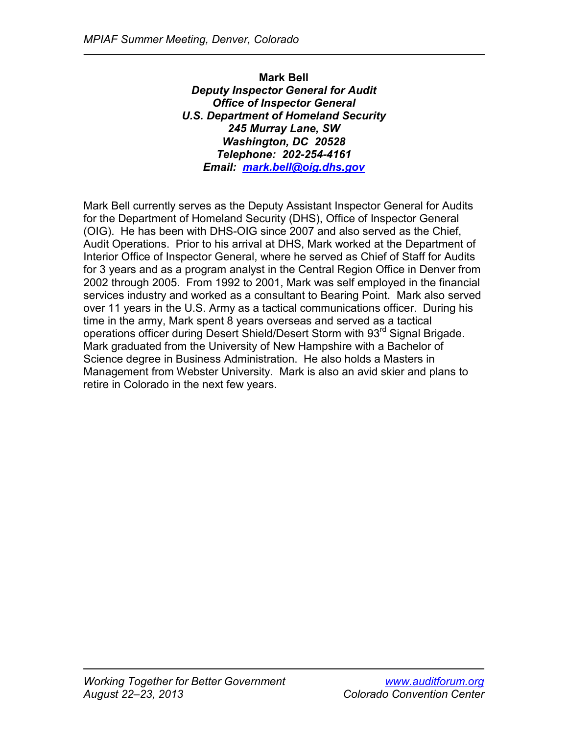**Mark Bell** *Deputy Inspector General for Audit Office of Inspector General U.S. Department of Homeland Security 245 Murray Lane, SW Washington, DC 20528 Telephone: 202-254-4161 Email: [mark.bell@oig.dhs.gov](mailto:mark.bell@oig.dhs.gov)*

Mark Bell currently serves as the Deputy Assistant Inspector General for Audits for the Department of Homeland Security (DHS), Office of Inspector General (OIG). He has been with DHS-OIG since 2007 and also served as the Chief, Audit Operations. Prior to his arrival at DHS, Mark worked at the Department of Interior Office of Inspector General, where he served as Chief of Staff for Audits for 3 years and as a program analyst in the Central Region Office in Denver from 2002 through 2005. From 1992 to 2001, Mark was self employed in the financial services industry and worked as a consultant to Bearing Point. Mark also served over 11 years in the U.S. Army as a tactical communications officer. During his time in the army, Mark spent 8 years overseas and served as a tactical operations officer during Desert Shield/Desert Storm with 93<sup>rd</sup> Signal Brigade. Mark graduated from the University of New Hampshire with a Bachelor of Science degree in Business Administration. He also holds a Masters in Management from Webster University. Mark is also an avid skier and plans to retire in Colorado in the next few years.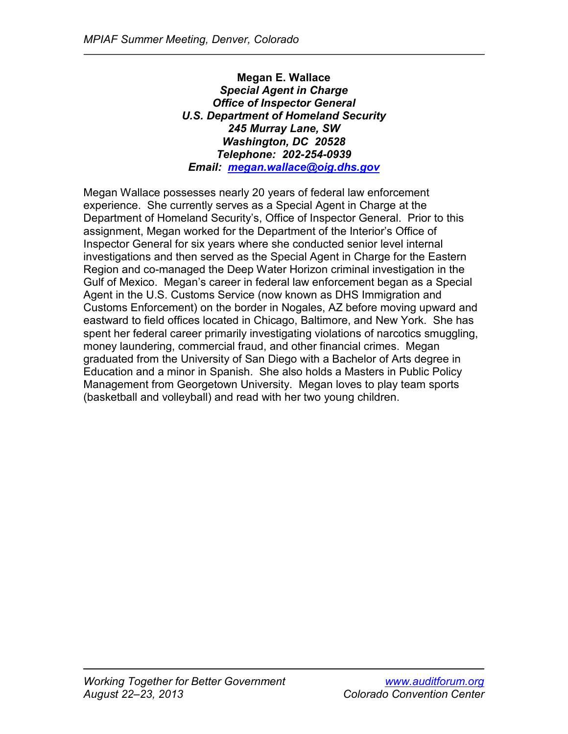**Megan E. Wallace** *Special Agent in Charge Office of Inspector General U.S. Department of Homeland Security 245 Murray Lane, SW Washington, DC 20528 Telephone: 202-254-0939 Email: [megan.wallace@oig.dhs.gov](mailto:megan.wallace@oig.dhs.gov)*

Megan Wallace possesses nearly 20 years of federal law enforcement experience. She currently serves as a Special Agent in Charge at the Department of Homeland Security's, Office of Inspector General. Prior to this assignment, Megan worked for the Department of the Interior's Office of Inspector General for six years where she conducted senior level internal investigations and then served as the Special Agent in Charge for the Eastern Region and co-managed the Deep Water Horizon criminal investigation in the Gulf of Mexico. Megan's career in federal law enforcement began as a Special Agent in the U.S. Customs Service (now known as DHS Immigration and Customs Enforcement) on the border in Nogales, AZ before moving upward and eastward to field offices located in Chicago, Baltimore, and New York. She has spent her federal career primarily investigating violations of narcotics smuggling, money laundering, commercial fraud, and other financial crimes. Megan graduated from the University of San Diego with a Bachelor of Arts degree in Education and a minor in Spanish. She also holds a Masters in Public Policy Management from Georgetown University. Megan loves to play team sports (basketball and volleyball) and read with her two young children.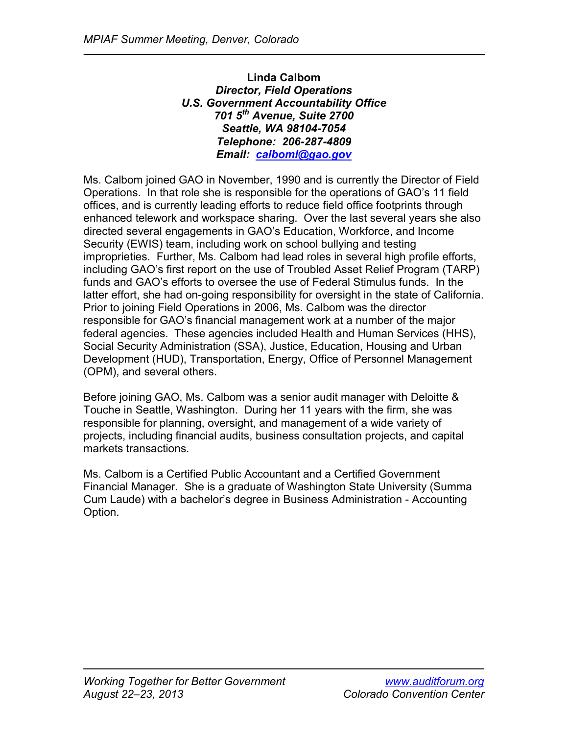# **Linda Calbom** *Director, Field Operations U.S. Government Accountability Office 701 5th Avenue, Suite 2700 Seattle, WA 98104-7054 Telephone: 206-287-4809 Email: [calboml@gao.gov](mailto:calboml@gao.gov)*

Ms. Calbom joined GAO in November, 1990 and is currently the Director of Field Operations. In that role she is responsible for the operations of GAO's 11 field offices, and is currently leading efforts to reduce field office footprints through enhanced telework and workspace sharing. Over the last several years she also directed several engagements in GAO's Education, Workforce, and Income Security (EWIS) team, including work on school bullying and testing improprieties. Further, Ms. Calbom had lead roles in several high profile efforts, including GAO's first report on the use of Troubled Asset Relief Program (TARP) funds and GAO's efforts to oversee the use of Federal Stimulus funds. In the latter effort, she had on-going responsibility for oversight in the state of California. Prior to joining Field Operations in 2006, Ms. Calbom was the director responsible for GAO's financial management work at a number of the major federal agencies. These agencies included Health and Human Services (HHS), Social Security Administration (SSA), Justice, Education, Housing and Urban Development (HUD), Transportation, Energy, Office of Personnel Management (OPM), and several others.

Before joining GAO, Ms. Calbom was a senior audit manager with Deloitte & Touche in Seattle, Washington. During her 11 years with the firm, she was responsible for planning, oversight, and management of a wide variety of projects, including financial audits, business consultation projects, and capital markets transactions.

Ms. Calbom is a Certified Public Accountant and a Certified Government Financial Manager. She is a graduate of Washington State University (Summa Cum Laude) with a bachelor's degree in Business Administration - Accounting Option.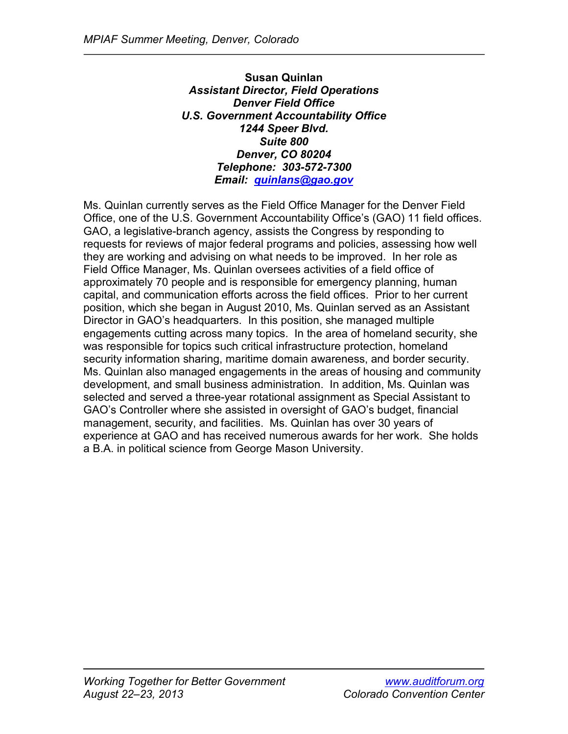**Susan Quinlan** *Assistant Director, Field Operations Denver Field Office U.S. Government Accountability Office 1244 Speer Blvd. Suite 800 Denver, CO 80204 Telephone: 303-572-7300 Email: [quinlans@gao.gov](mailto:quinlans@gao.gov)*

Ms. Quinlan currently serves as the Field Office Manager for the Denver Field Office, one of the U.S. Government Accountability Office's (GAO) 11 field offices. GAO, a legislative-branch agency, assists the Congress by responding to requests for reviews of major federal programs and policies, assessing how well they are working and advising on what needs to be improved. In her role as Field Office Manager, Ms. Quinlan oversees activities of a field office of approximately 70 people and is responsible for emergency planning, human capital, and communication efforts across the field offices. Prior to her current position, which she began in August 2010, Ms. Quinlan served as an Assistant Director in GAO's headquarters. In this position, she managed multiple engagements cutting across many topics. In the area of homeland security, she was responsible for topics such critical infrastructure protection, homeland security information sharing, maritime domain awareness, and border security. Ms. Quinlan also managed engagements in the areas of housing and community development, and small business administration. In addition, Ms. Quinlan was selected and served a three-year rotational assignment as Special Assistant to GAO's Controller where she assisted in oversight of GAO's budget, financial management, security, and facilities. Ms. Quinlan has over 30 years of experience at GAO and has received numerous awards for her work. She holds a B.A. in political science from George Mason University.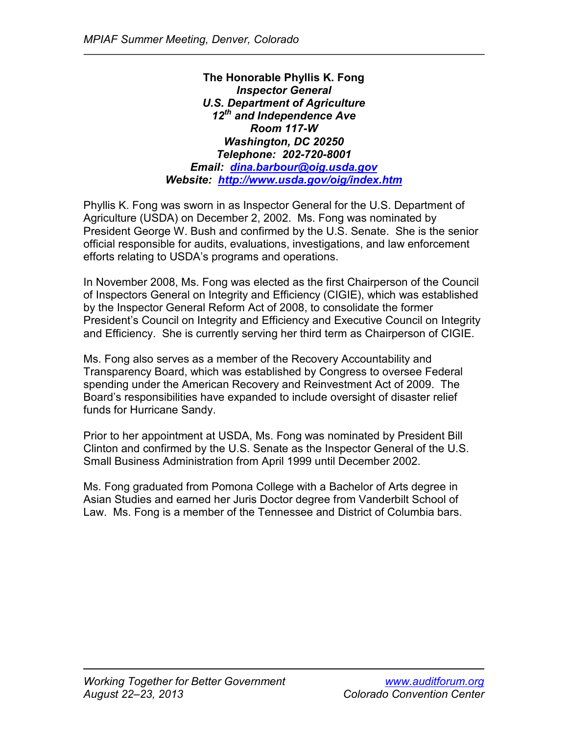**The Honorable Phyllis K. Fong** *Inspector General U.S. Department of Agriculture 12th and Independence Ave Room 117-W Washington, DC 20250 Telephone: 202-720-8001 Email: [dina.barbour@oig.usda.gov](mailto:dina.barbour@oig.usda.gov) Website: <http://www.usda.gov/oig/index.htm>*

Phyllis K. Fong was sworn in as Inspector General for the U.S. Department of Agriculture (USDA) on December 2, 2002. Ms. Fong was nominated by President George W. Bush and confirmed by the U.S. Senate. She is the senior official responsible for audits, evaluations, investigations, and law enforcement efforts relating to USDA's programs and operations.

In November 2008, Ms. Fong was elected as the first Chairperson of the Council of Inspectors General on Integrity and Efficiency (CIGIE), which was established by the Inspector General Reform Act of 2008, to consolidate the former President's Council on Integrity and Efficiency and Executive Council on Integrity and Efficiency. She is currently serving her third term as Chairperson of CIGIE.

Ms. Fong also serves as a member of the Recovery Accountability and Transparency Board, which was established by Congress to oversee Federal spending under the American Recovery and Reinvestment Act of 2009. The Board's responsibilities have expanded to include oversight of disaster relief funds for Hurricane Sandy.

Prior to her appointment at USDA, Ms. Fong was nominated by President Bill Clinton and confirmed by the U.S. Senate as the Inspector General of the U.S. Small Business Administration from April 1999 until December 2002.

Ms. Fong graduated from Pomona College with a Bachelor of Arts degree in Asian Studies and earned her Juris Doctor degree from Vanderbilt School of Law. Ms. Fong is a member of the Tennessee and District of Columbia bars.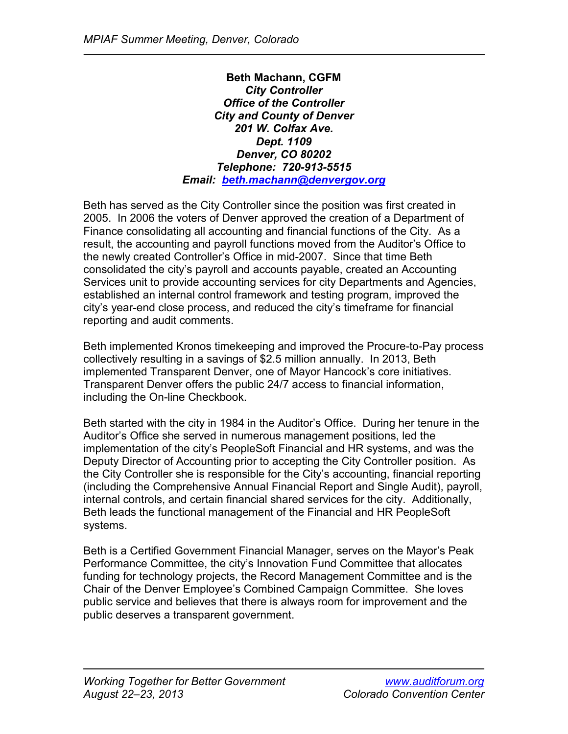**Beth Machann, CGFM** *City Controller Office of the Controller City and County of Denver 201 W. Colfax Ave. Dept. 1109 Denver, CO 80202 Telephone: 720-913-5515 Email: [beth.machann@denvergov.org](mailto:beth.machann@denvergov.org)*

Beth has served as the City Controller since the position was first created in 2005. In 2006 the voters of Denver approved the creation of a Department of Finance consolidating all accounting and financial functions of the City. As a result, the accounting and payroll functions moved from the Auditor's Office to the newly created Controller's Office in mid-2007. Since that time Beth consolidated the city's payroll and accounts payable, created an Accounting Services unit to provide accounting services for city Departments and Agencies, established an internal control framework and testing program, improved the city's year-end close process, and reduced the city's timeframe for financial reporting and audit comments.

Beth implemented Kronos timekeeping and improved the Procure-to-Pay process collectively resulting in a savings of \$2.5 million annually. In 2013, Beth implemented Transparent Denver, one of Mayor Hancock's core initiatives. Transparent Denver offers the public 24/7 access to financial information, including the On-line Checkbook.

Beth started with the city in 1984 in the Auditor's Office. During her tenure in the Auditor's Office she served in numerous management positions, led the implementation of the city's PeopleSoft Financial and HR systems, and was the Deputy Director of Accounting prior to accepting the City Controller position. As the City Controller she is responsible for the City's accounting, financial reporting (including the Comprehensive Annual Financial Report and Single Audit), payroll, internal controls, and certain financial shared services for the city. Additionally, Beth leads the functional management of the Financial and HR PeopleSoft systems.

Beth is a Certified Government Financial Manager, serves on the Mayor's Peak Performance Committee, the city's Innovation Fund Committee that allocates funding for technology projects, the Record Management Committee and is the Chair of the Denver Employee's Combined Campaign Committee. She loves public service and believes that there is always room for improvement and the public deserves a transparent government.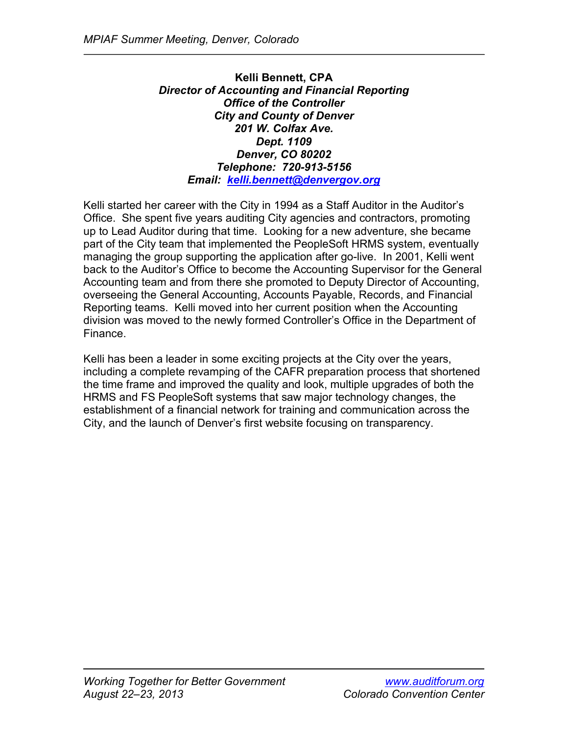## **Kelli Bennett, CPA** *Director of Accounting and Financial Reporting Office of the Controller City and County of Denver 201 W. Colfax Ave. Dept. 1109 Denver, CO 80202 Telephone: 720-913-5156 Email: [kelli.bennett@denvergov.org](mailto:kelli.bennett@denvergov.org)*

Kelli started her career with the City in 1994 as a Staff Auditor in the Auditor's Office. She spent five years auditing City agencies and contractors, promoting up to Lead Auditor during that time. Looking for a new adventure, she became part of the City team that implemented the PeopleSoft HRMS system, eventually managing the group supporting the application after go-live. In 2001, Kelli went back to the Auditor's Office to become the Accounting Supervisor for the General Accounting team and from there she promoted to Deputy Director of Accounting, overseeing the General Accounting, Accounts Payable, Records, and Financial Reporting teams. Kelli moved into her current position when the Accounting division was moved to the newly formed Controller's Office in the Department of Finance.

Kelli has been a leader in some exciting projects at the City over the years, including a complete revamping of the CAFR preparation process that shortened the time frame and improved the quality and look, multiple upgrades of both the HRMS and FS PeopleSoft systems that saw major technology changes, the establishment of a financial network for training and communication across the City, and the launch of Denver's first website focusing on transparency.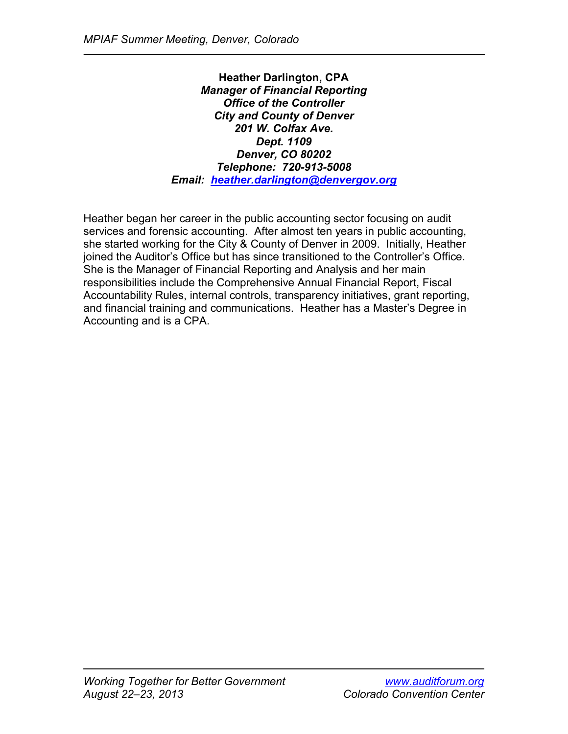**Heather Darlington, CPA** *Manager of Financial Reporting Office of the Controller City and County of Denver 201 W. Colfax Ave. Dept. 1109 Denver, CO 80202 Telephone: 720-913-5008 Email: [heather.darlington@denvergov.org](mailto:heather.darlington@denvergov.org)*

Heather began her career in the public accounting sector focusing on audit services and forensic accounting. After almost ten years in public accounting, she started working for the City & County of Denver in 2009. Initially, Heather joined the Auditor's Office but has since transitioned to the Controller's Office. She is the Manager of Financial Reporting and Analysis and her main responsibilities include the Comprehensive Annual Financial Report, Fiscal Accountability Rules, internal controls, transparency initiatives, grant reporting, and financial training and communications. Heather has a Master's Degree in Accounting and is a CPA.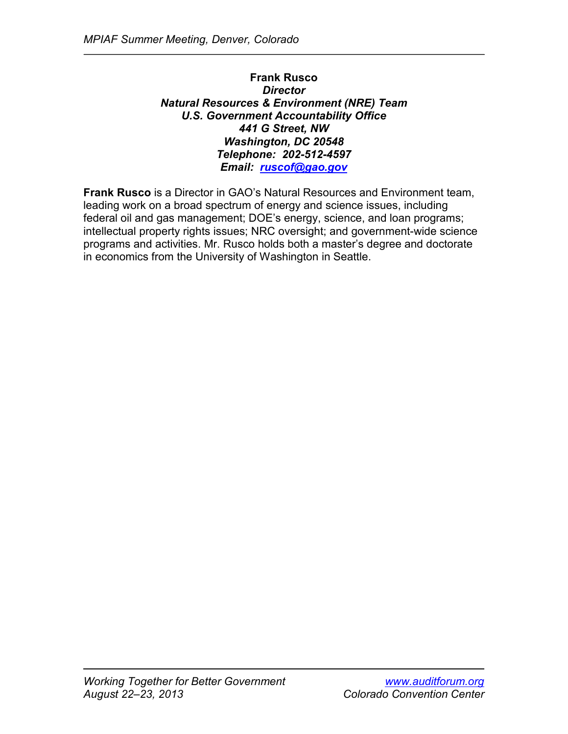**Frank Rusco** *Director Natural Resources & Environment (NRE) Team U.S. Government Accountability Office 441 G Street, NW Washington, DC 20548 Telephone: 202-512-4597 Email: [ruscof@gao.gov](mailto:ruscof@gao.gov)*

**Frank Rusco** is a Director in GAO's Natural Resources and Environment team, leading work on a broad spectrum of energy and science issues, including federal oil and gas management; DOE's energy, science, and loan programs; intellectual property rights issues; NRC oversight; and government-wide science programs and activities. Mr. Rusco holds both a master's degree and doctorate in economics from the University of Washington in Seattle.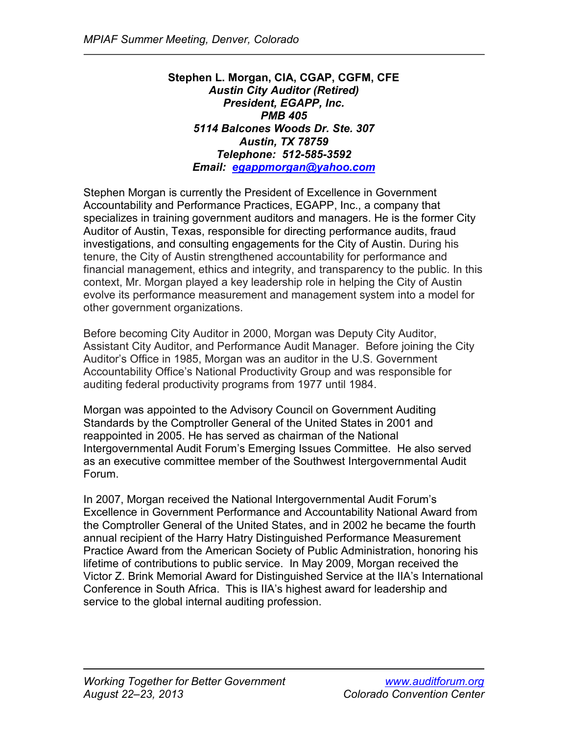**Stephen L. Morgan, CIA, CGAP, CGFM, CFE** *Austin City Auditor (Retired) President, EGAPP, Inc. PMB 405 5114 Balcones Woods Dr. Ste. 307 Austin, TX 78759 Telephone: 512-585-3592 Email: [egappmorgan@yahoo.com](mailto:egappmorgan@yahoo.com)*

Stephen Morgan is currently the President of Excellence in Government Accountability and Performance Practices, EGAPP, Inc., a company that specializes in training government auditors and managers. He is the former City Auditor of Austin, Texas, responsible for directing performance audits, fraud investigations, and consulting engagements for the City of Austin. During his tenure, the City of Austin strengthened accountability for performance and financial management, ethics and integrity, and transparency to the public. In this context, Mr. Morgan played a key leadership role in helping the City of Austin evolve its performance measurement and management system into a model for other government organizations.

Before becoming City Auditor in 2000, Morgan was Deputy City Auditor, Assistant City Auditor, and Performance Audit Manager. Before joining the City Auditor's Office in 1985, Morgan was an auditor in the U.S. Government Accountability Office's National Productivity Group and was responsible for auditing federal productivity programs from 1977 until 1984.

Morgan was appointed to the Advisory Council on Government Auditing Standards by the Comptroller General of the United States in 2001 and reappointed in 2005. He has served as chairman of the National Intergovernmental Audit Forum's Emerging Issues Committee. He also served as an executive committee member of the Southwest Intergovernmental Audit Forum.

In 2007, Morgan received the National Intergovernmental Audit Forum's Excellence in Government Performance and Accountability National Award from the Comptroller General of the United States, and in 2002 he became the fourth annual recipient of the Harry Hatry Distinguished Performance Measurement Practice Award from the American Society of Public Administration, honoring his lifetime of contributions to public service. In May 2009, Morgan received the Victor Z. Brink Memorial Award for Distinguished Service at the IIA's International Conference in South Africa. This is IIA's highest award for leadership and service to the global internal auditing profession.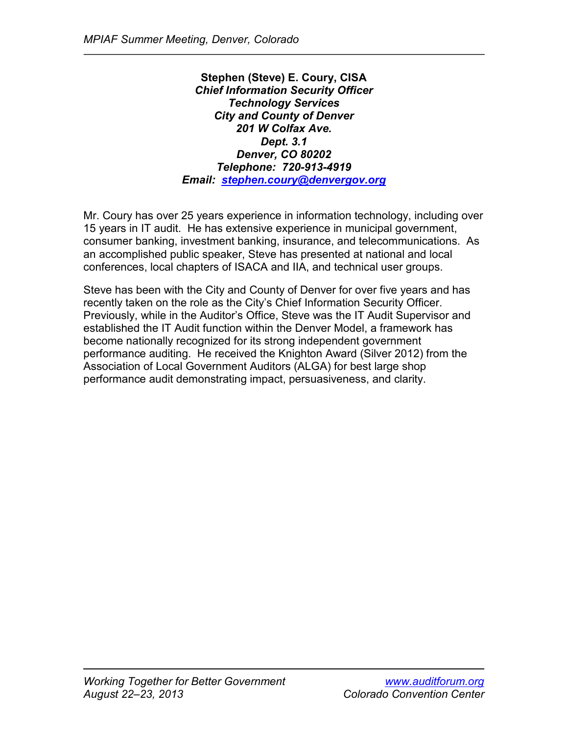# **Stephen (Steve) E. Coury, CISA** *Chief Information Security Officer Technology Services City and County of Denver 201 W Colfax Ave. Dept. 3.1 Denver, CO 80202 Telephone: 720-913-4919 Email: [stephen.coury@denvergov.org](mailto:stephen.coury@denvergov.org)*

Mr. Coury has over 25 years experience in information technology, including over 15 years in IT audit. He has extensive experience in municipal government, consumer banking, investment banking, insurance, and telecommunications. As an accomplished public speaker, Steve has presented at national and local conferences, local chapters of ISACA and IIA, and technical user groups.

Steve has been with the City and County of Denver for over five years and has recently taken on the role as the City's Chief Information Security Officer. Previously, while in the Auditor's Office, Steve was the IT Audit Supervisor and established the IT Audit function within the Denver Model, a framework has become nationally recognized for its strong independent government performance auditing. He received the Knighton Award (Silver 2012) from the Association of Local Government Auditors (ALGA) for best large shop performance audit demonstrating impact, persuasiveness, and clarity.